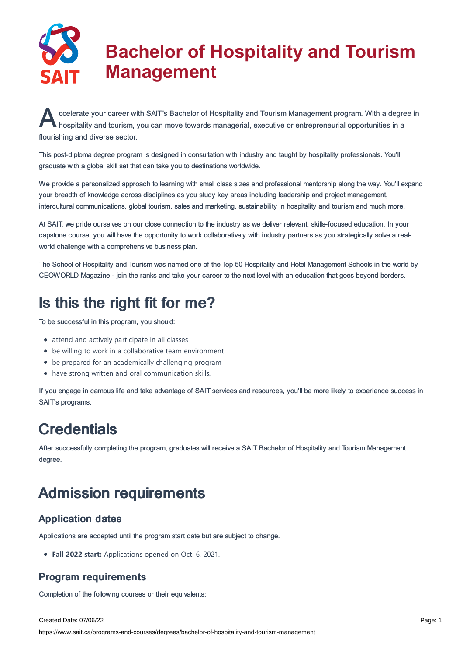

# **Bachelor of Hospitality and Tourism Management**

ccelerate your career with SAIT's Bachelor of Hospitality and Tourism Management program. With a degree<br>hospitality and tourism, you can move towards managerial, executive or entrepreneurial opportunities in a ccelerate your career with SAIT's Bachelor of Hospitality and Tourism Management program. With a degree in flourishing and diverse sector.

This post-diploma degree program is designed in consultation with industry and taught by hospitality professionals. You'll graduate with a global skill set that can take you to destinations worldwide.

We provide a personalized approach to learning with small class sizes and professional mentorship along the way. You'll expand your breadth of knowledge across disciplines as you study key areas including leadership and project management, intercultural communications, global tourism, sales and marketing, sustainability in hospitality and tourism and much more.

At SAIT, we pride ourselves on our close connection to the industry as we deliver relevant, skills-focused education. In your capstone course, you will have the opportunity to work collaboratively with industry partners as you strategically solve a realworld challenge with a comprehensive business plan.

The School of Hospitality and Tourism was named one of the Top 50 Hospitality and Hotel Management Schools in the world by CEOWORLD Magazine - join the ranks and take your career to the next level with an education that goes beyond borders.

# Is this the right fit for me?

To be successful in this program, you should:

- attend and actively participate in all classes
- be willing to work in a collaborative team environment
- be prepared for an academically challenging program
- have strong written and oral communication skills.

If you engage in campus life and take advantage of SAIT services and resources, you'll be more likely to experience success in SAIT's programs.

# **Credentials**

After successfully completing the program, graduates will receive a SAIT Bachelor of Hospitality and Tourism Management degree.

# Admission requirements

## Application dates

Applications are accepted until the program start date but are subject to change.

**Fall 2022 start:** Applications opened on Oct. 6, 2021.

## Program requirements

Completion of the following courses or their equivalents:

Created Date: 07/06/22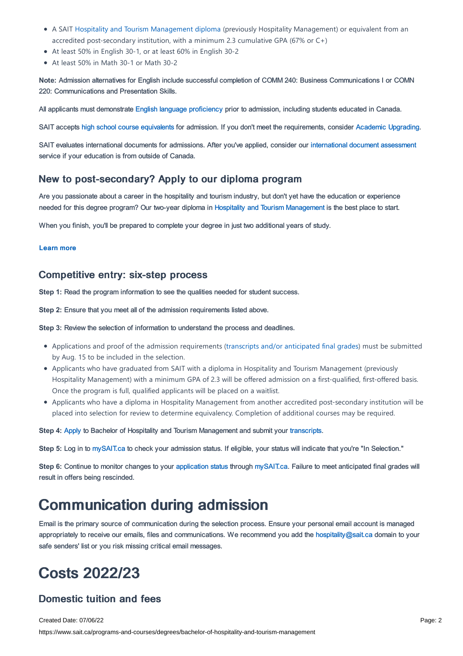- A SAIT Hospitality and Tourism [Management](https://www.sait.ca/programs-and-courses/diplomas/hospitality-and-tourism-management) diploma (previously Hospitality Management) or equivalent from an accredited post-secondary institution, with a minimum 2.3 cumulative GPA (67% or C+)
- At least 50% in English 30-1, or at least 60% in English 30-2
- At least 50% in Math 30-1 or Math 30-2

**Note:** Admission alternatives for English include successful completion of COMM 240: Business Communications I or COMN 220: Communications and Presentation Skills.

All applicants must demonstrate English language [proficiency](https://www.sait.ca/admissions/before-you-apply/english-proficiency) prior to admission, including students educated in Canada.

SAIT accepts high school course [equivalents](https://www.sait.ca/admissions/before-you-apply/high-school-course-equivalencies) for admission. If you don't meet the requirements, consider Academic [Upgrading.](https://www.sait.ca/programs-and-courses/academic-upgrading)

SAIT evaluates international documents for admissions. After you've applied, consider our [international](https://www.sait.ca/admissions/after-you-apply/international-document-assessment) document assessment service if your education is from outside of Canada.

### New to post-secondary? Apply to our diploma program

Are you passionate about a career in the hospitality and tourism industry, but don't yet have the education or experience needed for this degree program? Our two-year diploma in Hospitality and Tourism [Management](https://www.sait.ca/programs-and-courses/diplomas/hospitality-and-tourism-management) is the best place to start.

When you finish, you'll be prepared to complete your degree in just two additional years of study.

#### [Learn](https://www.sait.ca/programs-and-courses/diplomas/hospitality-and-tourism-management) more

#### Competitive entry: six-step process

**Step 1:** Read the program information to see the qualities needed for student success.

**Step 2:** Ensure that you meet all of the admission requirements listed above.

**Step 3:** Review the selection of information to understand the process and deadlines.

- Applications and proof of the admission requirements (transcripts and/or [anticipated](https://www.sait.ca/admissions/after-you-apply/transcripts-and-supporting-documents) final grades) must be submitted by Aug. 15 to be included in the selection.
- Applicants who have graduated from SAIT with a diploma in Hospitality and Tourism Management (previously Hospitality Management) with a minimum GPA of 2.3 will be offered admission on a first-qualified, first-offered basis. Once the program is full, qualified applicants will be placed on a waitlist.
- Applicants who have a diploma in Hospitality Management from another accredited post-secondary institution will be placed into selection for review to determine equivalency. Completion of additional courses may be required.

**Step 4:** [Apply](https://www.sait.ca/admissions/apply) to Bachelor of Hospitality and Tourism Management and submit your [transcripts](https://www.sait.ca/admissions/after-you-apply/transcripts-and-supporting-documents).

**Step 5:** Log in to [mySAIT.ca](https://www.mysait.ca) to check your admission status. If eligible, your status will indicate that you're "In Selection."

Step 6: Continue to monitor changes to your [application](https://www.sait.ca/admissions/after-you-apply/tracking-your-application) status through [mySAIT.ca](https://www.mysait.ca). Failure to meet anticipated final grades will result in offers being rescinded.

## Communication during admission

Email is the primary source of communication during the selection process. Ensure your personal email account is managed appropriately to receive our emails, files and communications. We recommend you add the [hospitality@sait.ca](https://sait.camailto:hospitality@sait.ca) domain to your safe senders' list or you risk missing critical email messages.

# Costs 2022/23

### Domestic tuition and fees

Created Date: 07/06/22